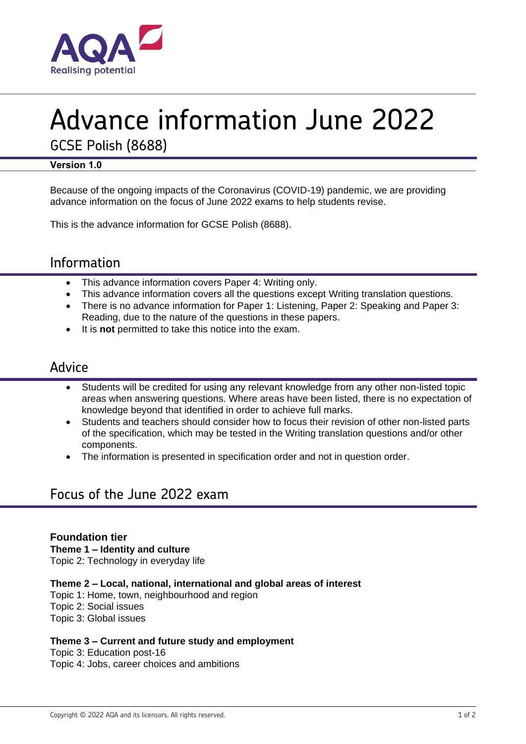

# Advance information June 2022

GCSE Polish (8688)

### **Version 1.0**

Because of the ongoing impacts of the Coronavirus (COVID-19) pandemic, we are providing advance information on the focus of June 2022 exams to help students revise.

This is the advance information for GCSE Polish (8688).

## Information

- This advance information covers Paper 4: Writing only.
- This advance information covers all the questions except Writing translation questions.
- There is no advance information for Paper 1: Listening, Paper 2: Speaking and Paper 3: Reading, due to the nature of the questions in these papers.
- It is **not** permitted to take this notice into the exam.

## Advice

- Students will be credited for using any relevant knowledge from any other non-listed topic areas when answering questions. Where areas have been listed, there is no expectation of knowledge beyond that identified in order to achieve full marks.
- Students and teachers should consider how to focus their revision of other non-listed parts of the specification, which may be tested in the Writing translation questions and/or other components.
- The information is presented in specification order and not in question order.

## Focus of the June 2022 exam

### **Foundation tier**

**Theme 1 – Identity and culture**

Topic 2: Technology in everyday life

### **Theme 2 – Local, national, international and global areas of interest**

Topic 1: Home, town, neighbourhood and region

Topic 2: Social issues

Topic 3: Global issues

### **Theme 3 – Current and future study and employment**

Topic 3: Education post-16

Topic 4: Jobs, career choices and ambitions